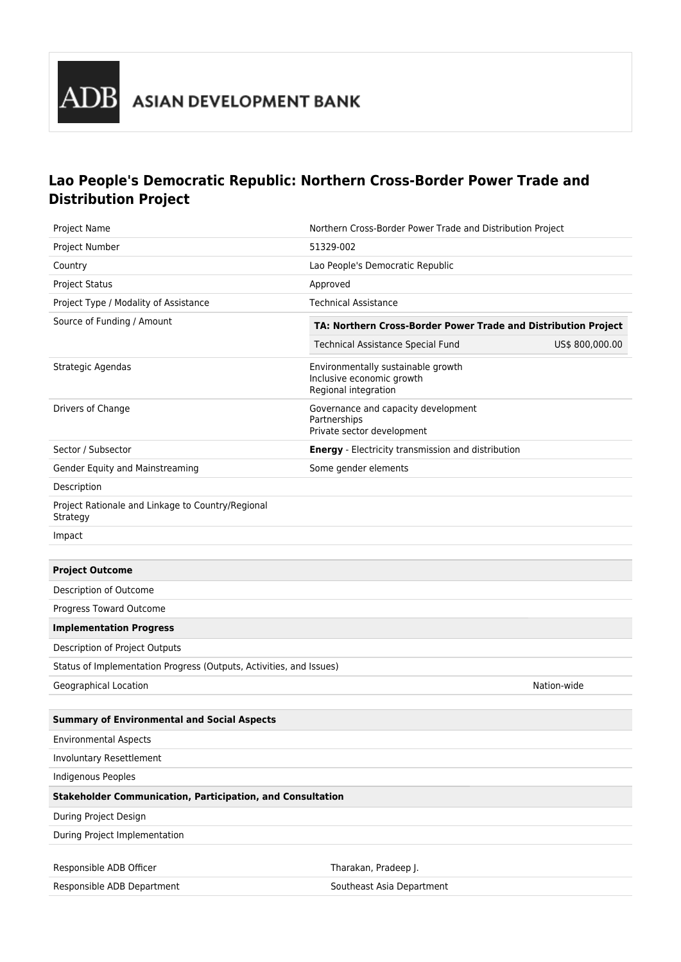

## **Lao People's Democratic Republic: Northern Cross-Border Power Trade and Distribution Project**

| <b>Project Name</b>                                                 |                                                                                         | Northern Cross-Border Power Trade and Distribution Project |  |
|---------------------------------------------------------------------|-----------------------------------------------------------------------------------------|------------------------------------------------------------|--|
| Project Number                                                      | 51329-002                                                                               |                                                            |  |
| Country                                                             | Lao People's Democratic Republic                                                        |                                                            |  |
| <b>Project Status</b>                                               | Approved                                                                                |                                                            |  |
| Project Type / Modality of Assistance                               | <b>Technical Assistance</b>                                                             |                                                            |  |
| Source of Funding / Amount                                          | TA: Northern Cross-Border Power Trade and Distribution Project                          |                                                            |  |
|                                                                     | Technical Assistance Special Fund                                                       | US\$ 800,000.00                                            |  |
| Strategic Agendas                                                   | Environmentally sustainable growth<br>Inclusive economic growth<br>Regional integration |                                                            |  |
| Drivers of Change                                                   | Governance and capacity development<br>Partnerships<br>Private sector development       |                                                            |  |
| Sector / Subsector                                                  | <b>Energy</b> - Electricity transmission and distribution                               |                                                            |  |
| Gender Equity and Mainstreaming                                     | Some gender elements                                                                    |                                                            |  |
| Description                                                         |                                                                                         |                                                            |  |
| Project Rationale and Linkage to Country/Regional<br>Strategy       |                                                                                         |                                                            |  |
| Impact                                                              |                                                                                         |                                                            |  |
|                                                                     |                                                                                         |                                                            |  |
| <b>Project Outcome</b>                                              |                                                                                         |                                                            |  |
| Description of Outcome                                              |                                                                                         |                                                            |  |
| Progress Toward Outcome                                             |                                                                                         |                                                            |  |
| <b>Implementation Progress</b>                                      |                                                                                         |                                                            |  |
| Description of Project Outputs                                      |                                                                                         |                                                            |  |
| Status of Implementation Progress (Outputs, Activities, and Issues) |                                                                                         |                                                            |  |
| Geographical Location                                               |                                                                                         | Nation-wide                                                |  |
|                                                                     |                                                                                         |                                                            |  |
| <b>Summary of Environmental and Social Aspects</b>                  |                                                                                         |                                                            |  |
| <b>Environmental Aspects</b>                                        |                                                                                         |                                                            |  |
| Involuntary Resettlement                                            |                                                                                         |                                                            |  |
| Indigenous Peoples                                                  |                                                                                         |                                                            |  |
| <b>Stakeholder Communication, Participation, and Consultation</b>   |                                                                                         |                                                            |  |
| During Project Design                                               |                                                                                         |                                                            |  |
| During Project Implementation                                       |                                                                                         |                                                            |  |
| Responsible ADB Officer                                             | Tharakan, Pradeep J.                                                                    |                                                            |  |
| Responsible ADB Department                                          | Southeast Asia Department                                                               |                                                            |  |